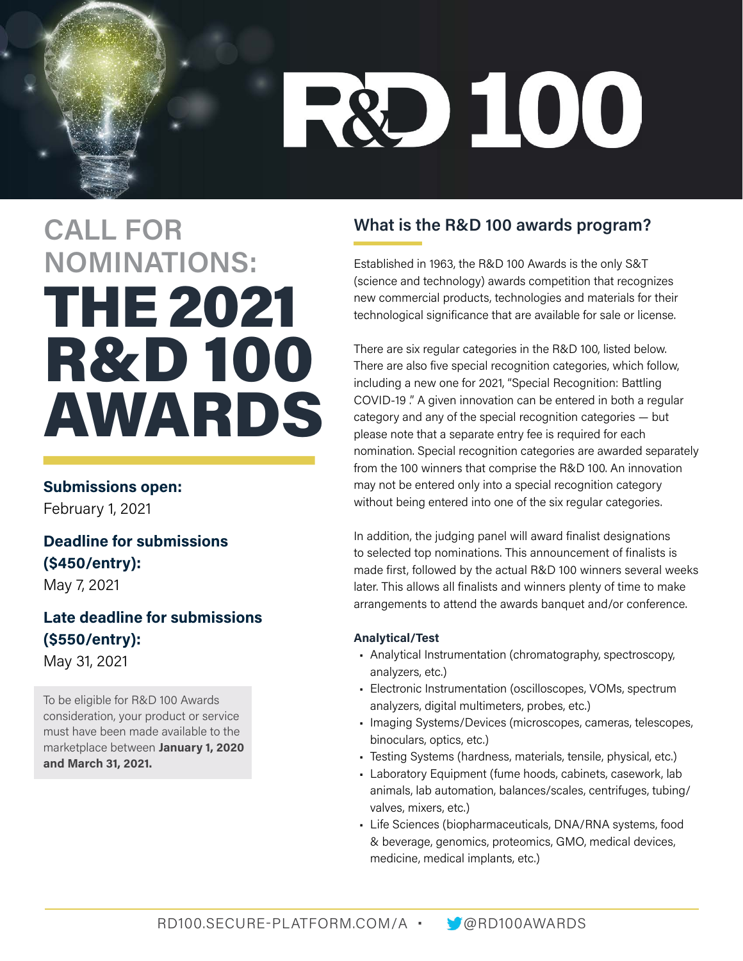# **R&D 100**

### **CALL FOR NOMINATIONS:**  THE 2021 R&D 100 AWARDS

#### **Submissions open:**

February 1, 2021

#### **Deadline for submissions (\$450/entry):**  May 7, 2021

**Late deadline for submissions (\$550/entry):** 

May 31, 2021

To be eligible for R&D 100 Awards consideration, your product or service must have been made available to the marketplace between **January 1, 2020 and March 31, 2021.**

#### **What is the R&D 100 awards program?**

Established in 1963, the R&D 100 Awards is the only S&T (science and technology) awards competition that recognizes new commercial products, technologies and materials for their technological significance that are available for sale or license.

There are six regular categories in the R&D 100, listed below. There are also five special recognition categories, which follow, including a new one for 2021, "Special Recognition: Battling COVID-19 ." A given innovation can be entered in both a regular category and any of the special recognition categories — but please note that a separate entry fee is required for each nomination. Special recognition categories are awarded separately from the 100 winners that comprise the R&D 100. An innovation may not be entered only into a special recognition category without being entered into one of the six regular categories.

In addition, the judging panel will award finalist designations to selected top nominations. This announcement of finalists is made first, followed by the actual R&D 100 winners several weeks later. This allows all finalists and winners plenty of time to make arrangements to attend the awards banquet and/or conference.

#### **Analytical/Test**

- Analytical Instrumentation (chromatography, spectroscopy, analyzers, etc.)
- Electronic Instrumentation (oscilloscopes, VOMs, spectrum analyzers, digital multimeters, probes, etc.)
- Imaging Systems/Devices (microscopes, cameras, telescopes, binoculars, optics, etc.)
- Testing Systems (hardness, materials, tensile, physical, etc.)
- Laboratory Equipment (fume hoods, cabinets, casework, lab animals, lab automation, balances/scales, centrifuges, tubing/ valves, mixers, etc.)
- Life Sciences (biopharmaceuticals, DNA/RNA systems, food & beverage, genomics, proteomics, GMO, medical devices, medicine, medical implants, etc.)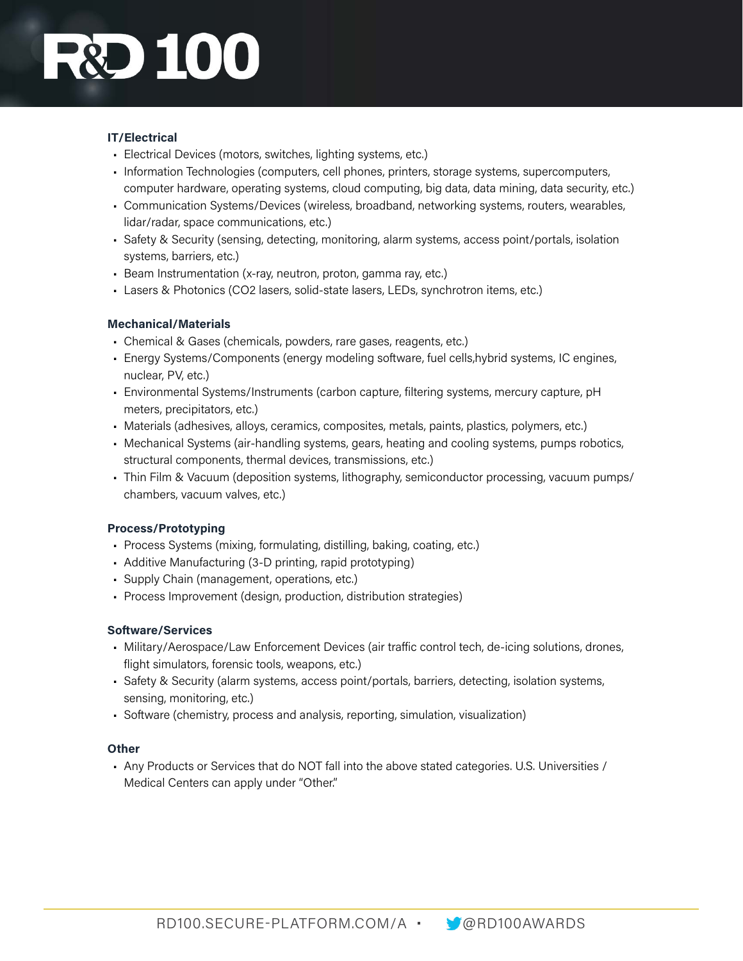### **DECE**

#### **IT/Electrical**

- Electrical Devices (motors, switches, lighting systems, etc.)
- Information Technologies (computers, cell phones, printers, storage systems, supercomputers, computer hardware, operating systems, cloud computing, big data, data mining, data security, etc.)
- Communication Systems/Devices (wireless, broadband, networking systems, routers, wearables, lidar/radar, space communications, etc.)
- Safety & Security (sensing, detecting, monitoring, alarm systems, access point/portals, isolation systems, barriers, etc.)
- Beam Instrumentation (x-ray, neutron, proton, gamma ray, etc.)
- Lasers & Photonics (CO2 lasers, solid-state lasers, LEDs, synchrotron items, etc.)

#### **Mechanical/Materials**

- Chemical & Gases (chemicals, powders, rare gases, reagents, etc.)
- Energy Systems/Components (energy modeling software, fuel cells,hybrid systems, IC engines, nuclear, PV, etc.)
- Environmental Systems/Instruments (carbon capture, filtering systems, mercury capture, pH meters, precipitators, etc.)
- Materials (adhesives, alloys, ceramics, composites, metals, paints, plastics, polymers, etc.)
- Mechanical Systems (air-handling systems, gears, heating and cooling systems, pumps robotics, structural components, thermal devices, transmissions, etc.)
- Thin Film & Vacuum (deposition systems, lithography, semiconductor processing, vacuum pumps/ chambers, vacuum valves, etc.)

#### **Process/Prototyping**

- Process Systems (mixing, formulating, distilling, baking, coating, etc.)
- Additive Manufacturing (3-D printing, rapid prototyping)
- Supply Chain (management, operations, etc.)
- Process Improvement (design, production, distribution strategies)

#### **Software/Services**

- Military/Aerospace/Law Enforcement Devices (air traffic control tech, de-icing solutions, drones, flight simulators, forensic tools, weapons, etc.)
- Safety & Security (alarm systems, access point/portals, barriers, detecting, isolation systems, sensing, monitoring, etc.)
- Software (chemistry, process and analysis, reporting, simulation, visualization)

#### **Other**

• Any Products or Services that do NOT fall into the above stated categories. U.S. Universities / Medical Centers can apply under "Other."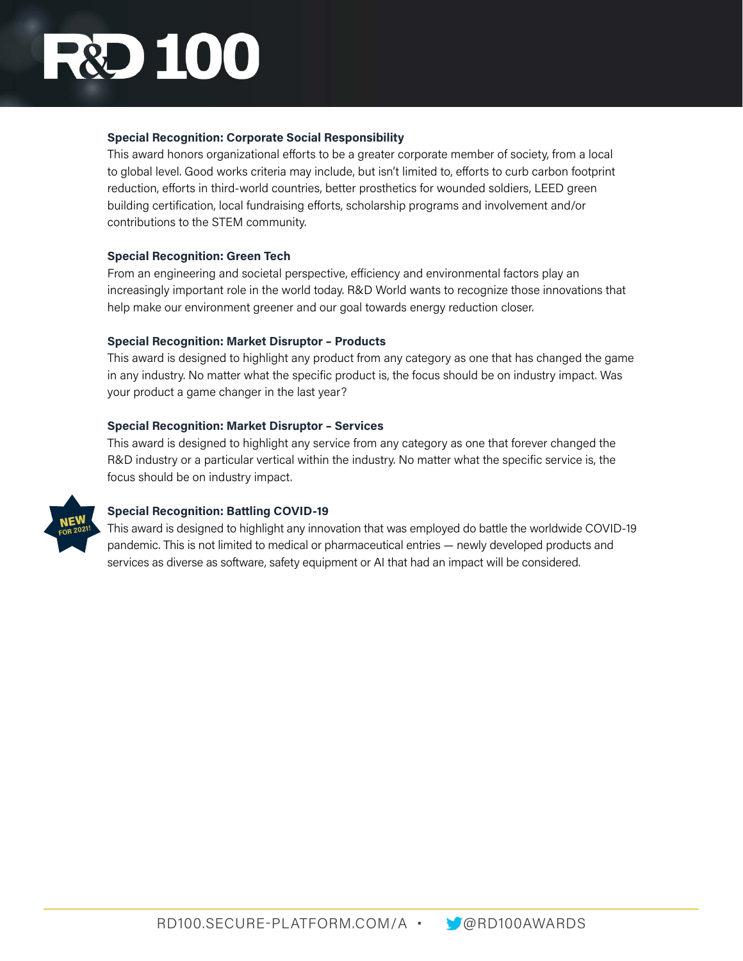## **DEC**

#### **Special Recognition: Corporate Social Responsibility**

This award honors organizational efforts to be a greater corporate member of society, from a local to global level. Good works criteria may include, but isn't limited to, efforts to curb carbon footprint reduction, efforts in third-world countries, better prosthetics for wounded soldiers, LEED green building certification, local fundraising efforts, scholarship programs and involvement and/or contributions to the STEM community.

#### **Special Recognition: Green Tech**

From an engineering and societal perspective, efficiency and environmental factors play an increasingly important role in the world today. R&D World wants to recognize those innovations that help make our environment greener and our goal towards energy reduction closer.

#### **Special Recognition: Market Disruptor – Products**

This award is designed to highlight any product from any category as one that has changed the game in any industry. No matter what the specific product is, the focus should be on industry impact. Was your product a game changer in the last year?

#### **Special Recognition: Market Disruptor – Services**

This award is designed to highlight any service from any category as one that forever changed the R&D industry or a particular vertical within the industry. No matter what the specific service is, the focus should be on industry impact.



#### **Special Recognition: Battling COVID-19**

This award is designed to highlight any innovation that was employed do battle the worldwide COVID-19 pandemic. This is not limited to medical or pharmaceutical entries — newly developed products and services as diverse as software, safety equipment or AI that had an impact will be considered.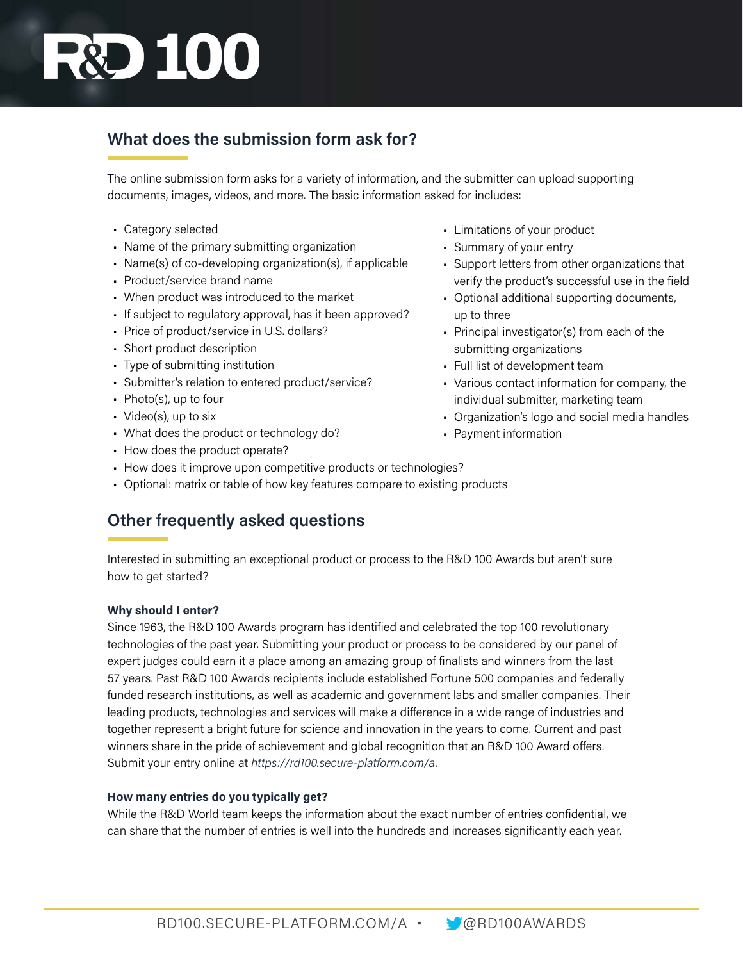## **R&D 100**

#### **What does the submission form ask for?**

The online submission form asks for a variety of information, and the submitter can upload supporting documents, images, videos, and more. The basic information asked for includes:

- Category selected
- Name of the primary submitting organization
- Name(s) of co-developing organization(s), if applicable
- Product/service brand name
- When product was introduced to the market
- If subject to regulatory approval, has it been approved?
- Price of product/service in U.S. dollars?
- Short product description
- Type of submitting institution
- Submitter's relation to entered product/service?
- Photo(s), up to four
- Video(s), up to six
- What does the product or technology do?
- How does the product operate?
- How does it improve upon competitive products or technologies?
- Optional: matrix or table of how key features compare to existing products

#### **Other frequently asked questions**

Interested in submitting an exceptional product or process to the R&D 100 Awards but aren't sure how to get started?

#### **Why should I enter?**

Since 1963, the R&D 100 Awards program has identified and celebrated the top 100 revolutionary technologies of the past year. Submitting your product or process to be considered by our panel of expert judges could earn it a place among an amazing group of finalists and winners from the last 57 years. Past R&D 100 Awards recipients include established Fortune 500 companies and federally funded research institutions, as well as academic and government labs and smaller companies. Their leading products, technologies and services will make a difference in a wide range of industries and together represent a bright future for science and innovation in the years to come. Current and past winners share in the pride of achievement and global recognition that an R&D 100 Award offers. Submit your entry online at *<https://rd100.secure-platform.com/a>*.

#### **How many entries do you typically get?**

While the R&D World team keeps the information about the exact number of entries confidential, we can share that the number of entries is well into the hundreds and increases significantly each year.

- Limitations of your product
- Summary of your entry
- Support letters from other organizations that verify the product's successful use in the field
- Optional additional supporting documents, up to three
- Principal investigator(s) from each of the submitting organizations
- Full list of development team
- Various contact information for company, the individual submitter, marketing team
- Organization's logo and social media handles
- Payment information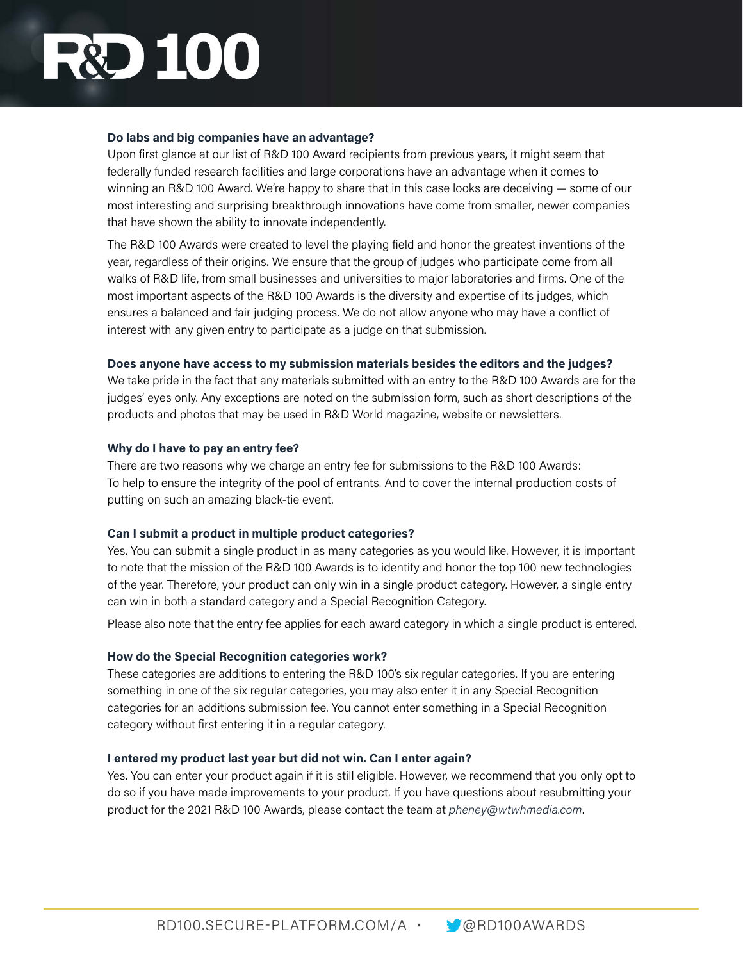### **DEC**

#### **Do labs and big companies have an advantage?**

Upon first glance at our list of R&D 100 Award recipients from previous years, it might seem that federally funded research facilities and large corporations have an advantage when it comes to winning an R&D 100 Award. We're happy to share that in this case looks are deceiving — some of our most interesting and surprising breakthrough innovations have come from smaller, newer companies that have shown the ability to innovate independently.

The R&D 100 Awards were created to level the playing field and honor the greatest inventions of the year, regardless of their origins. We ensure that the group of judges who participate come from all walks of R&D life, from small businesses and universities to major laboratories and firms. One of the most important aspects of the R&D 100 Awards is the diversity and expertise of its judges, which ensures a balanced and fair judging process. We do not allow anyone who may have a conflict of interest with any given entry to participate as a judge on that submission.

#### **Does anyone have access to my submission materials besides the editors and the judges?**

We take pride in the fact that any materials submitted with an entry to the R&D 100 Awards are for the judges' eyes only. Any exceptions are noted on the submission form, such as short descriptions of the products and photos that may be used in R&D World magazine, website or newsletters.

#### **Why do I have to pay an entry fee?**

There are two reasons why we charge an entry fee for submissions to the R&D 100 Awards: To help to ensure the integrity of the pool of entrants. And to cover the internal production costs of putting on such an amazing black-tie event.

#### **Can I submit a product in multiple product categories?**

Yes. You can submit a single product in as many categories as you would like. However, it is important to note that the mission of the R&D 100 Awards is to identify and honor the top 100 new technologies of the year. Therefore, your product can only win in a single product category. However, a single entry can win in both a standard category and a Special Recognition Category.

Please also note that the entry fee applies for each award category in which a single product is entered.

#### **How do the Special Recognition categories work?**

These categories are additions to entering the R&D 100's six regular categories. If you are entering something in one of the six regular categories, you may also enter it in any Special Recognition categories for an additions submission fee. You cannot enter something in a Special Recognition category without first entering it in a regular category.

#### **I entered my product last year but did not win. Can I enter again?**

Yes. You can enter your product again if it is still eligible. However, we recommend that you only opt to do so if you have made improvements to your product. If you have questions about resubmitting your product for the 2021 R&D 100 Awards, please contact the team at *[pheney@wtwhmedia.com](mailto:pheney%40wtwhmedia.com?subject=RD%20100%20Submission)*.